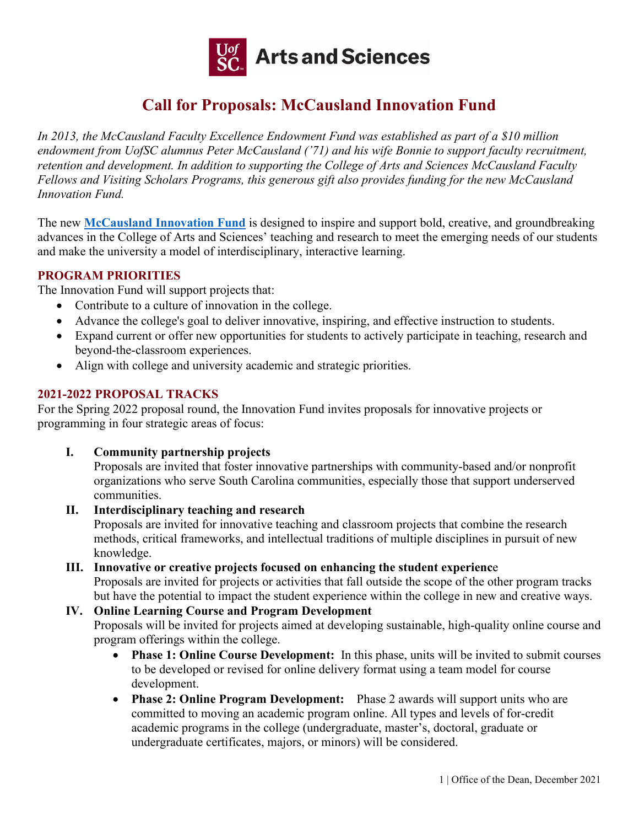

# **Call for Proposals: McCausland Innovation Fund**

*In 2013, the McCausland Faculty Excellence Endowment Fund was established as part of a \$10 million endowment from UofSC alumnus Peter McCausland ('71) and his wife Bonnie to support faculty recruitment, retention and development. In addition to supporting the College of Arts and Sciences McCausland Faculty Fellows and Visiting Scholars Programs, this generous gift also provides funding for the new McCausland Innovation Fund.* 

The new **[McCausland Innovation Fund](https://www.sc.edu/study/colleges_schools/artsandsciences/internal/for_faculty_staff/college_initiatives/mccausland/innovation_fund/index.php)** is designed to inspire and support bold, creative, and groundbreaking advances in the College of Arts and Sciences' teaching and research to meet the emerging needs of our students and make the university a model of interdisciplinary, interactive learning.

# **PROGRAM PRIORITIES**

The Innovation Fund will support projects that:

- Contribute to a culture of innovation in the college.
- Advance the college's goal to deliver innovative, inspiring, and effective instruction to students.
- Expand current or offer new opportunities for students to actively participate in teaching, research and beyond-the-classroom experiences.
- Align with college and university academic and strategic priorities.

### **2021-2022 PROPOSAL TRACKS**

For the Spring 2022 proposal round, the Innovation Fund invites proposals for innovative projects or programming in four strategic areas of focus:

**I. Community partnership projects**

Proposals are invited that foster innovative partnerships with community-based and/or nonprofit organizations who serve South Carolina communities, especially those that support underserved communities.

# **II. Interdisciplinary teaching and research**

Proposals are invited for innovative teaching and classroom projects that combine the research methods, critical frameworks, and intellectual traditions of multiple disciplines in pursuit of new knowledge.

# **III. Innovative or creative projects focused on enhancing the student experienc**e Proposals are invited for projects or activities that fall outside the scope of the other program tracks

but have the potential to impact the student experience within the college in new and creative ways.

# **IV. Online Learning Course and Program Development**

Proposals will be invited for projects aimed at developing sustainable, high-quality online course and program offerings within the college.

- **Phase 1: Online Course Development:** In this phase, units will be invited to submit courses to be developed or revised for online delivery format using a team model for course development.
- **Phase 2: Online Program Development:** Phase 2 awards will support units who are committed to moving an academic program online. All types and levels of for-credit academic programs in the college (undergraduate, master's, doctoral, graduate or undergraduate certificates, majors, or minors) will be considered.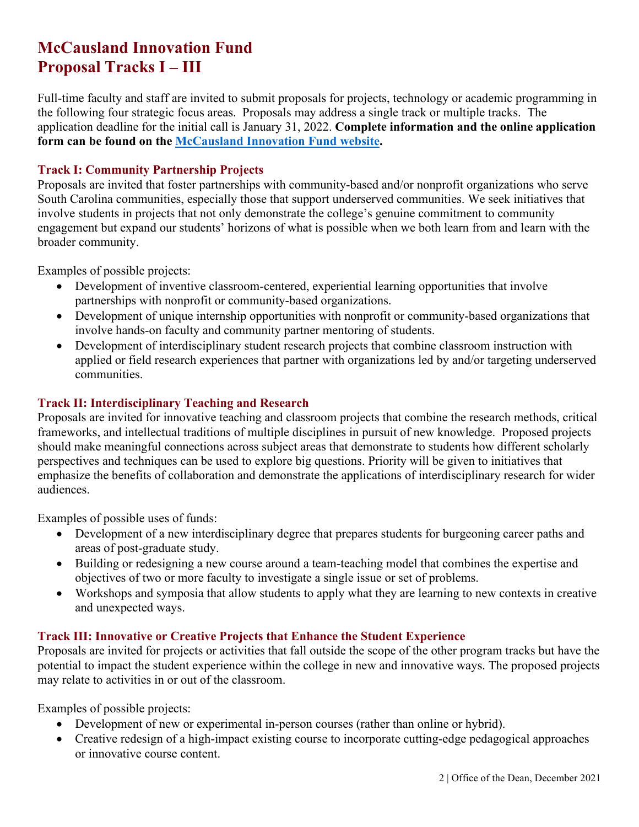# **McCausland Innovation Fund Proposal Tracks I – III**

Full-time faculty and staff are invited to submit proposals for projects, technology or academic programming in the following four strategic focus areas. Proposals may address a single track or multiple tracks. The application deadline for the initial call is January 31, 2022. **Complete information and the online application form can be found on the [McCausland Innovation Fund website.](https://www.sc.edu/study/colleges_schools/artsandsciences/internal/for_faculty_staff/college_initiatives/mccausland/innovation_fund/index.php)**

### **Track I: Community Partnership Projects**

Proposals are invited that foster partnerships with community-based and/or nonprofit organizations who serve South Carolina communities, especially those that support underserved communities. We seek initiatives that involve students in projects that not only demonstrate the college's genuine commitment to community engagement but expand our students' horizons of what is possible when we both learn from and learn with the broader community.

Examples of possible projects:

- Development of inventive classroom-centered, experiential learning opportunities that involve partnerships with nonprofit or community-based organizations.
- Development of unique internship opportunities with nonprofit or community-based organizations that involve hands-on faculty and community partner mentoring of students.
- Development of interdisciplinary student research projects that combine classroom instruction with applied or field research experiences that partner with organizations led by and/or targeting underserved communities.

# **Track II: Interdisciplinary Teaching and Research**

Proposals are invited for innovative teaching and classroom projects that combine the research methods, critical frameworks, and intellectual traditions of multiple disciplines in pursuit of new knowledge. Proposed projects should make meaningful connections across subject areas that demonstrate to students how different scholarly perspectives and techniques can be used to explore big questions. Priority will be given to initiatives that emphasize the benefits of collaboration and demonstrate the applications of interdisciplinary research for wider audiences.

Examples of possible uses of funds:

- Development of a new interdisciplinary degree that prepares students for burgeoning career paths and areas of post-graduate study.
- Building or redesigning a new course around a team-teaching model that combines the expertise and objectives of two or more faculty to investigate a single issue or set of problems.
- Workshops and symposia that allow students to apply what they are learning to new contexts in creative and unexpected ways.

#### **Track III: Innovative or Creative Projects that Enhance the Student Experience**

Proposals are invited for projects or activities that fall outside the scope of the other program tracks but have the potential to impact the student experience within the college in new and innovative ways. The proposed projects may relate to activities in or out of the classroom.

Examples of possible projects:

- Development of new or experimental in-person courses (rather than online or hybrid).
- Creative redesign of a high-impact existing course to incorporate cutting-edge pedagogical approaches or innovative course content.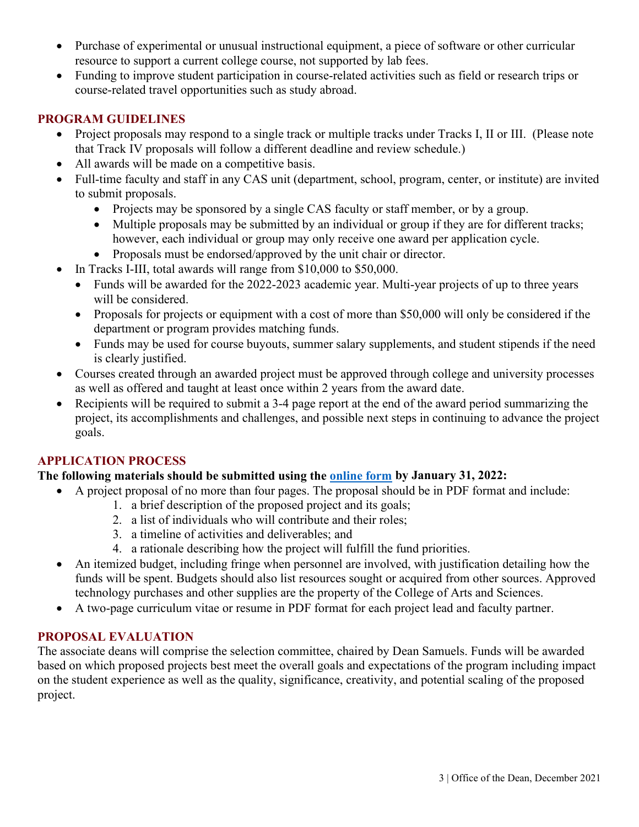- Purchase of experimental or unusual instructional equipment, a piece of software or other curricular resource to support a current college course, not supported by lab fees.
- Funding to improve student participation in course-related activities such as field or research trips or course-related travel opportunities such as study abroad.

### **PROGRAM GUIDELINES**

- Project proposals may respond to a single track or multiple tracks under Tracks I, II or III. (Please note that Track IV proposals will follow a different deadline and review schedule.)
- All awards will be made on a competitive basis.
- Full-time faculty and staff in any CAS unit (department, school, program, center, or institute) are invited to submit proposals.
	- Projects may be sponsored by a single CAS faculty or staff member, or by a group.
	- Multiple proposals may be submitted by an individual or group if they are for different tracks; however, each individual or group may only receive one award per application cycle.
	- Proposals must be endorsed/approved by the unit chair or director.
- In Tracks I-III, total awards will range from \$10,000 to \$50,000.
	- Funds will be awarded for the 2022-2023 academic year. Multi-year projects of up to three years will be considered.
	- Proposals for projects or equipment with a cost of more than \$50,000 will only be considered if the department or program provides matching funds.
	- Funds may be used for course buyouts, summer salary supplements, and student stipends if the need is clearly justified.
- Courses created through an awarded project must be approved through college and university processes as well as offered and taught at least once within 2 years from the award date.
- Recipients will be required to submit a 3-4 page report at the end of the award period summarizing the project, its accomplishments and challenges, and possible next steps in continuing to advance the project goals.

# **APPLICATION PROCESS**

#### **The following materials should be submitted using the [online form](https://www.sc.edu/study/colleges_schools/artsandsciences/internal/for_faculty_staff/college_initiatives/mccausland/innovation_fund/index.php) by January 31, 2022:**

- A project proposal of no more than four pages. The proposal should be in PDF format and include:
	- 1. a brief description of the proposed project and its goals;
	- 2. a list of individuals who will contribute and their roles;
	- 3. a timeline of activities and deliverables; and
	- 4. a rationale describing how the project will fulfill the fund priorities.
- An itemized budget, including fringe when personnel are involved, with justification detailing how the funds will be spent. Budgets should also list resources sought or acquired from other sources. Approved technology purchases and other supplies are the property of the College of Arts and Sciences.
- A two-page curriculum vitae or resume in PDF format for each project lead and faculty partner.

#### **PROPOSAL EVALUATION**

The associate deans will comprise the selection committee, chaired by Dean Samuels. Funds will be awarded based on which proposed projects best meet the overall goals and expectations of the program including impact on the student experience as well as the quality, significance, creativity, and potential scaling of the proposed project.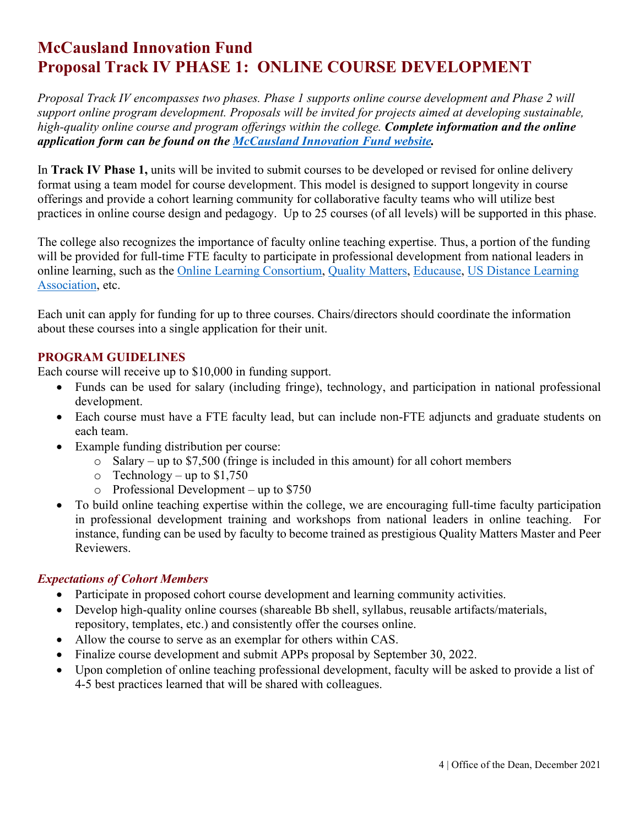# **McCausland Innovation Fund Proposal Track IV PHASE 1: ONLINE COURSE DEVELOPMENT**

*Proposal Track IV encompasses two phases. Phase 1 supports online course development and Phase 2 will support online program development. Proposals will be invited for projects aimed at developing sustainable, high-quality online course and program offerings within the college. Complete information and the online application form can be found on the [McCausland Innovation Fund website.](https://www.sc.edu/study/colleges_schools/artsandsciences/internal/for_faculty_staff/college_initiatives/mccausland/innovation_fund/index.php)*

In **Track IV Phase 1,** units will be invited to submit courses to be developed or revised for online delivery format using a team model for course development. This model is designed to support longevity in course offerings and provide a cohort learning community for collaborative faculty teams who will utilize best practices in online course design and pedagogy. Up to 25 courses (of all levels) will be supported in this phase.

The college also recognizes the importance of faculty online teaching expertise. Thus, a portion of the funding will be provided for full-time FTE faculty to participate in professional development from national leaders in online learning, such as the [Online Learning Consortium,](https://onlinelearningconsortium.org/) [Quality Matters,](https://www.qualitymatters.org/) [Educause,](https://www.educause.edu/) [US Distance Learning](https://usdla.org/)  [Association,](https://usdla.org/) etc.

Each unit can apply for funding for up to three courses. Chairs/directors should coordinate the information about these courses into a single application for their unit.

# **PROGRAM GUIDELINES**

Each course will receive up to \$10,000 in funding support.

- Funds can be used for salary (including fringe), technology, and participation in national professional development.
- Each course must have a FTE faculty lead, but can include non-FTE adjuncts and graduate students on each team.
- Example funding distribution per course:
	- $\circ$  Salary up to \$7,500 (fringe is included in this amount) for all cohort members
	- $\circ$  Technology up to \$1,750
	- o Professional Development up to \$750
- To build online teaching expertise within the college, we are encouraging full-time faculty participation in professional development training and workshops from national leaders in online teaching. For instance, funding can be used by faculty to become trained as prestigious Quality Matters Master and Peer Reviewers.

# *Expectations of Cohort Members*

- Participate in proposed cohort course development and learning community activities.
- Develop high-quality online courses (shareable Bb shell, syllabus, reusable artifacts/materials, repository, templates, etc.) and consistently offer the courses online.
- Allow the course to serve as an exemplar for others within CAS.
- Finalize course development and submit APPs proposal by September 30, 2022.
- Upon completion of online teaching professional development, faculty will be asked to provide a list of 4-5 best practices learned that will be shared with colleagues.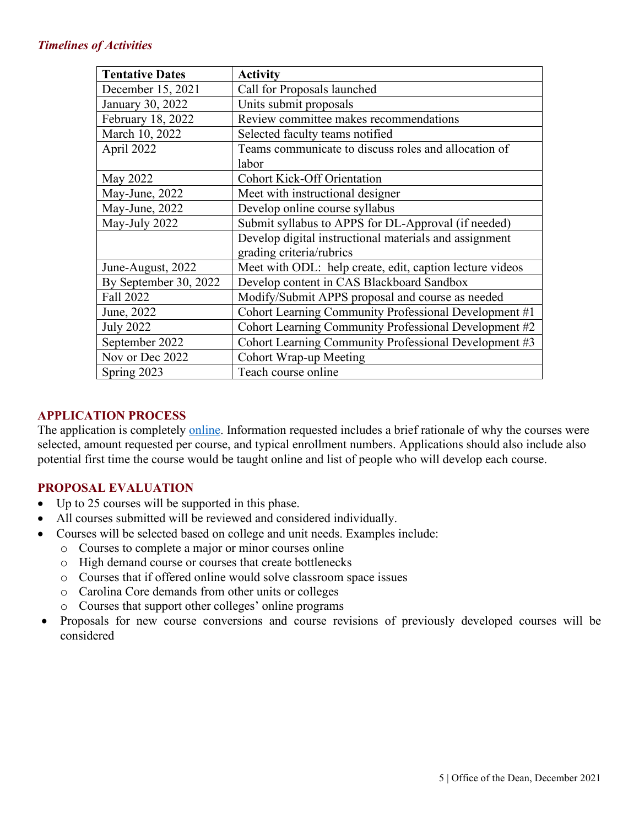### *Timelines of Activities*

| <b>Tentative Dates</b> | <b>Activity</b>                                          |
|------------------------|----------------------------------------------------------|
| December 15, 2021      | Call for Proposals launched                              |
| January 30, 2022       | Units submit proposals                                   |
| February 18, 2022      | Review committee makes recommendations                   |
| March 10, 2022         | Selected faculty teams notified                          |
| April 2022             | Teams communicate to discuss roles and allocation of     |
|                        | labor                                                    |
| May 2022               | <b>Cohort Kick-Off Orientation</b>                       |
| May-June, 2022         | Meet with instructional designer                         |
| May-June, 2022         | Develop online course syllabus                           |
| May-July 2022          | Submit syllabus to APPS for DL-Approval (if needed)      |
|                        | Develop digital instructional materials and assignment   |
|                        | grading criteria/rubrics                                 |
| June-August, 2022      | Meet with ODL: help create, edit, caption lecture videos |
| By September 30, 2022  | Develop content in CAS Blackboard Sandbox                |
| Fall 2022              | Modify/Submit APPS proposal and course as needed         |
| June, 2022             | Cohort Learning Community Professional Development #1    |
| <b>July 2022</b>       | Cohort Learning Community Professional Development #2    |
| September 2022         | Cohort Learning Community Professional Development #3    |
| Nov or Dec 2022        | Cohort Wrap-up Meeting                                   |
| Spring 2023            | Teach course online                                      |

### **APPLICATION PROCESS**

The application is completely [online.](https://www.sc.edu/study/colleges_schools/artsandsciences/internal/for_faculty_staff/college_initiatives/mccausland/innovation_fund/index.php) Information requested includes a brief rationale of why the courses were selected, amount requested per course, and typical enrollment numbers. Applications should also include also potential first time the course would be taught online and list of people who will develop each course.

# **PROPOSAL EVALUATION**

- Up to 25 courses will be supported in this phase.
- All courses submitted will be reviewed and considered individually.
- Courses will be selected based on college and unit needs. Examples include:
	- o Courses to complete a major or minor courses online
	- o High demand course or courses that create bottlenecks
	- o Courses that if offered online would solve classroom space issues
	- o Carolina Core demands from other units or colleges
	- o Courses that support other colleges' online programs
- Proposals for new course conversions and course revisions of previously developed courses will be considered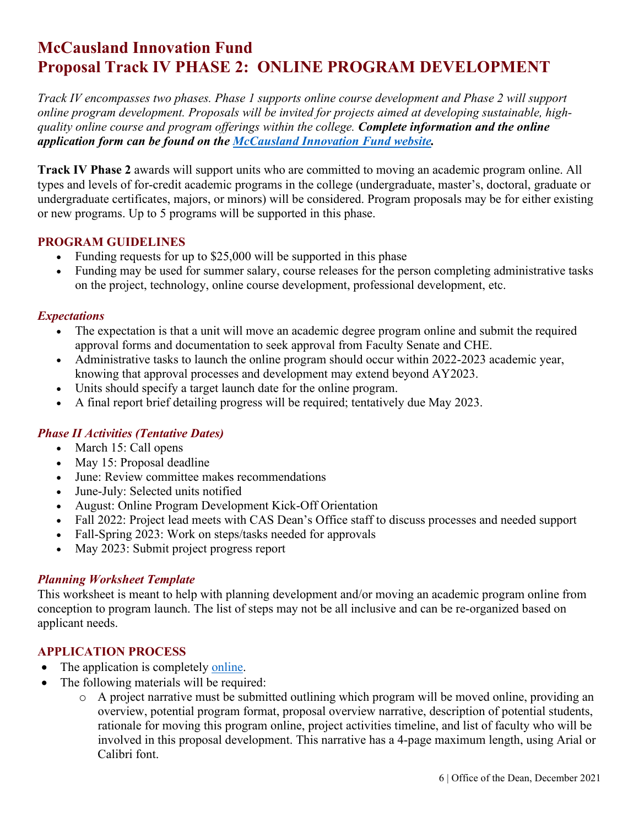# **McCausland Innovation Fund Proposal Track IV PHASE 2: ONLINE PROGRAM DEVELOPMENT**

*Track IV encompasses two phases. Phase 1 supports online course development and Phase 2 will support online program development. Proposals will be invited for projects aimed at developing sustainable, highquality online course and program offerings within the college. Complete information and the online application form can be found on the McCausland [Innovation Fund website.](https://www.sc.edu/study/colleges_schools/artsandsciences/internal/for_faculty_staff/college_initiatives/mccausland/innovation_fund/index.php)*

**Track IV Phase 2** awards will support units who are committed to moving an academic program online. All types and levels of for-credit academic programs in the college (undergraduate, master's, doctoral, graduate or undergraduate certificates, majors, or minors) will be considered. Program proposals may be for either existing or new programs. Up to 5 programs will be supported in this phase.

### **PROGRAM GUIDELINES**

- Funding requests for up to \$25,000 will be supported in this phase
- Funding may be used for summer salary, course releases for the person completing administrative tasks on the project, technology, online course development, professional development, etc.

### *Expectations*

- The expectation is that a unit will move an academic degree program online and submit the required approval forms and documentation to seek approval from Faculty Senate and CHE.
- Administrative tasks to launch the online program should occur within 2022-2023 academic year, knowing that approval processes and development may extend beyond AY2023.
- Units should specify a target launch date for the online program.
- A final report brief detailing progress will be required; tentatively due May 2023.

# *Phase II Activities (Tentative Dates)*

- March 15: Call opens
- May 15: Proposal deadline
- June: Review committee makes recommendations
- June-July: Selected units notified
- August: Online Program Development Kick-Off Orientation
- Fall 2022: Project lead meets with CAS Dean's Office staff to discuss processes and needed support
- Fall-Spring 2023: Work on steps/tasks needed for approvals
- May 2023: Submit project progress report

# *Planning Worksheet Template*

This worksheet is meant to help with planning development and/or moving an academic program online from conception to program launch. The list of steps may not be all inclusive and can be re-organized based on applicant needs.

# **APPLICATION PROCESS**

- The application is completely [online.](https://www.sc.edu/study/colleges_schools/artsandsciences/internal/for_faculty_staff/college_initiatives/mccausland/innovation_fund/index.php)
- The following materials will be required:
	- o A project narrative must be submitted outlining which program will be moved online, providing an overview, potential program format, proposal overview narrative, description of potential students, rationale for moving this program online, project activities timeline, and list of faculty who will be involved in this proposal development. This narrative has a 4-page maximum length, using Arial or Calibri font.